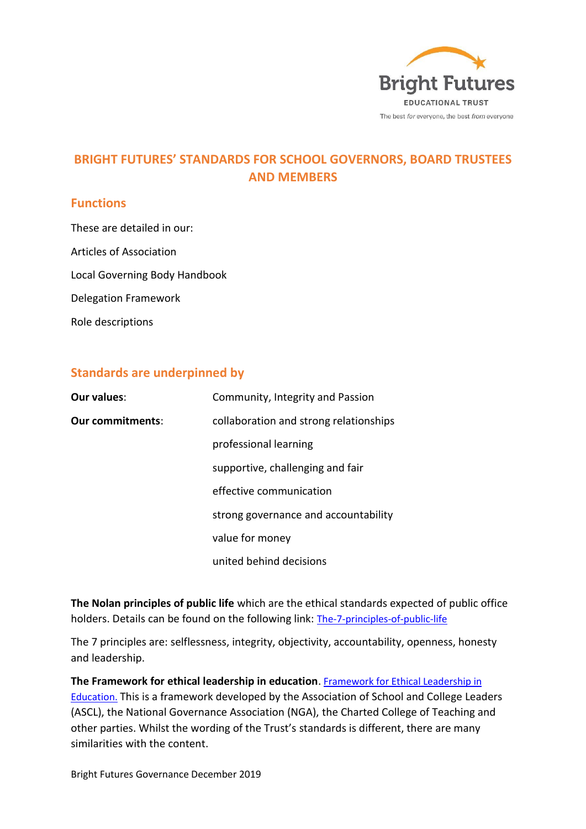

# **BRIGHT FUTURES' STANDARDS FOR SCHOOL GOVERNORS, BOARD TRUSTEES AND MEMBERS**

#### **Functions**

These are detailed in our: Articles of Association Local Governing Body Handbook Delegation Framework Role descriptions

#### **Standards are underpinned by**

| <b>Our values:</b>      | Community, Integrity and Passion       |
|-------------------------|----------------------------------------|
| <b>Our commitments:</b> | collaboration and strong relationships |
|                         | professional learning                  |
|                         | supportive, challenging and fair       |
|                         | effective communication                |
|                         | strong governance and accountability   |
|                         | value for money                        |
|                         | united behind decisions                |

**The Nolan principles of public life** which are the ethical standards expected of public office holders. Details can be found on the following link: [The-7-principles-of-public-life](https://www.gov.uk/government/publications/the-7-principles-of-public-life/the-7-principles-of-public-life--2)

The 7 principles are: selflessness, integrity, objectivity, accountability, openness, honesty and leadership.

**The Framework for ethical leadership in education**. [Framework for Ethical Leadership in](https://www.ascl.org.uk/utilities/document-summary.html?id=51FE7F38-E3AC-4C97-A44DB7A23AB399E5)  [Education.](https://www.ascl.org.uk/utilities/document-summary.html?id=51FE7F38-E3AC-4C97-A44DB7A23AB399E5) This is a framework developed by the Association of School and College Leaders (ASCL), the National Governance Association (NGA), the Charted College of Teaching and other parties. Whilst the wording of the Trust's standards is different, there are many similarities with the content.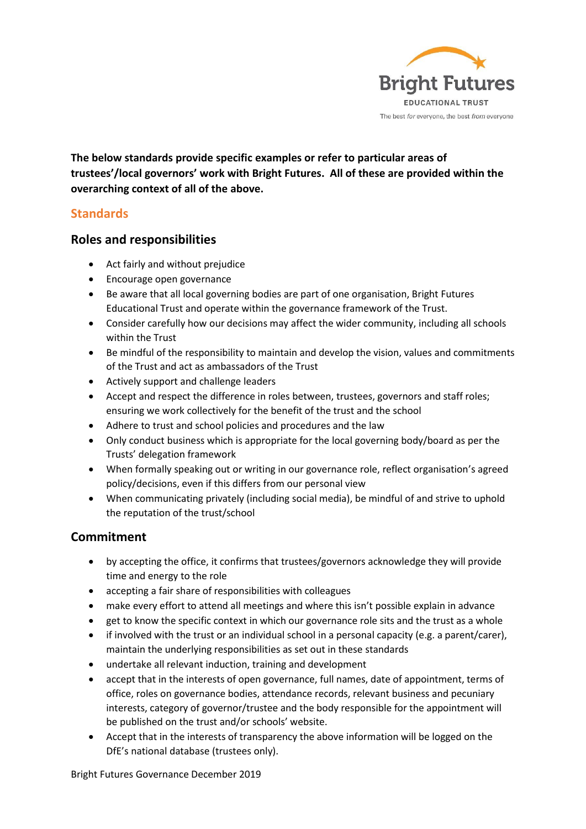

**The below standards provide specific examples or refer to particular areas of trustees'/local governors' work with Bright Futures. All of these are provided within the overarching context of all of the above.**

### **Standards**

#### **Roles and responsibilities**

- Act fairly and without prejudice
- Encourage open governance
- Be aware that all local governing bodies are part of one organisation, Bright Futures Educational Trust and operate within the governance framework of the Trust.
- Consider carefully how our decisions may affect the wider community, including all schools within the Trust
- Be mindful of the responsibility to maintain and develop the vision, values and commitments of the Trust and act as ambassadors of the Trust
- Actively support and challenge leaders
- Accept and respect the difference in roles between, trustees, governors and staff roles; ensuring we work collectively for the benefit of the trust and the school
- Adhere to trust and school policies and procedures and the law
- Only conduct business which is appropriate for the local governing body/board as per the Trusts' delegation framework
- When formally speaking out or writing in our governance role, reflect organisation's agreed policy/decisions, even if this differs from our personal view
- When communicating privately (including social media), be mindful of and strive to uphold the reputation of the trust/school

#### **Commitment**

- by accepting the office, it confirms that trustees/governors acknowledge they will provide time and energy to the role
- accepting a fair share of responsibilities with colleagues
- make every effort to attend all meetings and where this isn't possible explain in advance
- get to know the specific context in which our governance role sits and the trust as a whole
- if involved with the trust or an individual school in a personal capacity (e.g. a parent/carer), maintain the underlying responsibilities as set out in these standards
- undertake all relevant induction, training and development
- accept that in the interests of open governance, full names, date of appointment, terms of office, roles on governance bodies, attendance records, relevant business and pecuniary interests, category of governor/trustee and the body responsible for the appointment will be published on the trust and/or schools' website.
- Accept that in the interests of transparency the above information will be logged on the DfE's national database (trustees only).

Bright Futures Governance December 2019